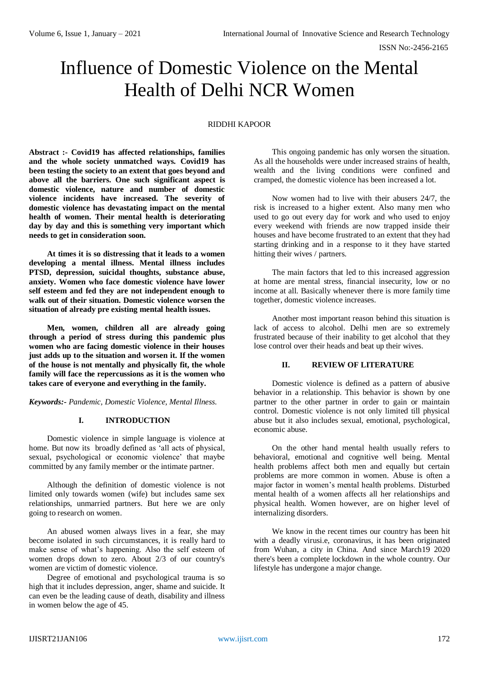ISSN No:-2456-2165

# Influence of Domestic Violence on the Mental Health of Delhi NCR Women

# RIDDHI KAPOOR

**Abstract :- Covid19 has affected relationships, families and the whole society unmatched ways. Covid19 has been testing the society to an extent that goes beyond and above all the barriers. One such significant aspect is domestic violence, nature and number of domestic violence incidents have increased. The severity of domestic violence has devastating impact on the mental health of women. Their mental health is deteriorating day by day and this is something very important which needs to get in consideration soon.** 

**At times it is so distressing that it leads to a women developing a mental illness. Mental illness includes PTSD, depression, suicidal thoughts, substance abuse, anxiety. Women who face domestic violence have lower self esteem and fed they are not independent enough to walk out of their situation. Domestic violence worsen the situation of already pre existing mental health issues.** 

**Men, women, children all are already going through a period of stress during this pandemic plus women who are facing domestic violence in their houses just adds up to the situation and worsen it. If the women of the house is not mentally and physically fit, the whole family will face the repercussions as it is the women who takes care of everyone and everything in the family.** 

*Keywords:- Pandemic, Domestic Violence, Mental Illness.*

## **I. INTRODUCTION**

Domestic violence in simple language is violence at home. But now its broadly defined as 'all acts of physical, sexual, psychological or economic violence' that maybe committed by any family member or the intimate partner.

Although the definition of domestic violence is not limited only towards women (wife) but includes same sex relationships, unmarried partners. But here we are only going to research on women.

An abused women always lives in a fear, she may become isolated in such circumstances, it is really hard to make sense of what's happening. Also the self esteem of women drops down to zero. About 2/3 of our country's women are victim of domestic violence.

Degree of emotional and psychological trauma is so high that it includes depression, anger, shame and suicide. It can even be the leading cause of death, disability and illness in women below the age of 45.

This ongoing pandemic has only worsen the situation. As all the households were under increased strains of health, wealth and the living conditions were confined and cramped, the domestic violence has been increased a lot.

Now women had to live with their abusers 24/7, the risk is increased to a higher extent. Also many men who used to go out every day for work and who used to enjoy every weekend with friends are now trapped inside their houses and have become frustrated to an extent that they had starting drinking and in a response to it they have started hitting their wives / partners.

The main factors that led to this increased aggression at home are mental stress, financial insecurity, low or no income at all. Basically whenever there is more family time together, domestic violence increases.

Another most important reason behind this situation is lack of access to alcohol. Delhi men are so extremely frustrated because of their inability to get alcohol that they lose control over their heads and beat up their wives.

# **II. REVIEW OF LITERATURE**

Domestic violence is defined as a pattern of abusive behavior in a relationship. This behavior is shown by one partner to the other partner in order to gain or maintain control. Domestic violence is not only limited till physical abuse but it also includes sexual, emotional, psychological, economic abuse.

On the other hand mental health usually refers to behavioral, emotional and cognitive well being. Mental health problems affect both men and equally but certain problems are more common in women. Abuse is often a major factor in women's mental health problems. Disturbed mental health of a women affects all her relationships and physical health. Women however, are on higher level of internalizing disorders.

We know in the recent times our country has been hit with a deadly virusi.e, coronavirus, it has been originated from Wuhan, a city in China. And since March19 2020 there's been a complete lockdown in the whole country. Our lifestyle has undergone a major change.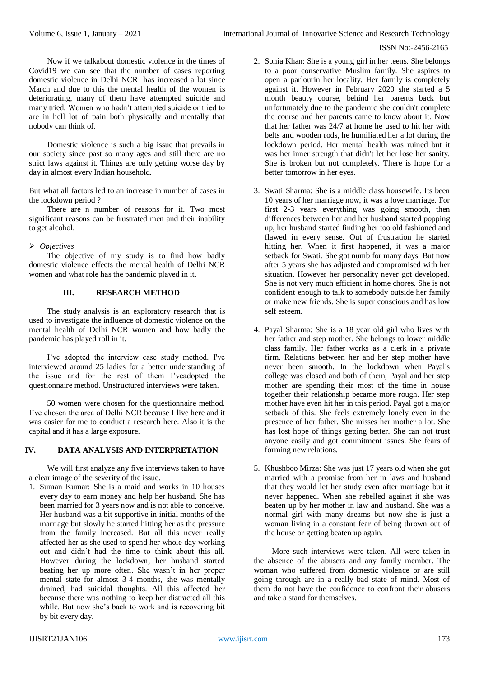### ISSN No:-2456-2165

Now if we talkabout domestic violence in the times of Covid19 we can see that the number of cases reporting domestic violence in Delhi NCR has increased a lot since March and due to this the mental health of the women is deteriorating, many of them have attempted suicide and many tried. Women who hadn't attempted suicide or tried to are in hell lot of pain both physically and mentally that nobody can think of.

Domestic violence is such a big issue that prevails in our society since past so many ages and still there are no strict laws against it. Things are only getting worse day by day in almost every Indian household.

But what all factors led to an increase in number of cases in the lockdown period ?

There are n number of reasons for it. Two most significant reasons can be frustrated men and their inability to get alcohol.

# *Objectives*

The objective of my study is to find how badly domestic violence effects the mental health of Delhi NCR women and what role has the pandemic played in it.

## **III. RESEARCH METHOD**

The study analysis is an exploratory research that is used to investigate the influence of domestic violence on the mental health of Delhi NCR women and how badly the pandemic has played roll in it.

I've adopted the interview case study method. I've interviewed around 25 ladies for a better understanding of the issue and for the rest of them I'veadopted the questionnaire method. Unstructured interviews were taken.

50 women were chosen for the questionnaire method. I've chosen the area of Delhi NCR because I live here and it was easier for me to conduct a research here. Also it is the capital and it has a large exposure.

# **IV. DATA ANALYSIS AND INTERPRETATION**

We will first analyze any five interviews taken to have a clear image of the severity of the issue.

1. Suman Kumar: She is a maid and works in 10 houses every day to earn money and help her husband. She has been married for 3 years now and is not able to conceive. Her husband was a bit supportive in initial months of the marriage but slowly he started hitting her as the pressure from the family increased. But all this never really affected her as she used to spend her whole day working out and didn't had the time to think about this all. However during the lockdown, her husband started beating her up more often. She wasn't in her proper mental state for almost 3-4 months, she was mentally drained, had suicidal thoughts. All this affected her because there was nothing to keep her distracted all this while. But now she's back to work and is recovering bit by bit every day.

- 2. Sonia Khan: She is a young girl in her teens. She belongs to a poor conservative Muslim family. She aspires to open a parlourin her locality. Her family is completely against it. However in February 2020 she started a 5 month beauty course, behind her parents back but unfortunately due to the pandemic she couldn't complete the course and her parents came to know about it. Now that her father was 24/7 at home he used to hit her with belts and wooden rods, he humiliated her a lot during the lockdown period. Her mental health was ruined but it was her inner strength that didn't let her lose her sanity. She is broken but not completely. There is hope for a better tomorrow in her eyes.
- 3. Swati Sharma: She is a middle class housewife. Its been 10 years of her marriage now, it was a love marriage. For first 2-3 years everything was going smooth, then differences between her and her husband started popping up, her husband started finding her too old fashioned and flawed in every sense. Out of frustration he started hitting her. When it first happened, it was a major setback for Swati. She got numb for many days. But now after 5 years she has adjusted and compromised with her situation. However her personality never got developed. She is not very much efficient in home chores. She is not confident enough to talk to somebody outside her family or make new friends. She is super conscious and has low self esteem.
- 4. Payal Sharma: She is a 18 year old girl who lives with her father and step mother. She belongs to lower middle class family. Her father works as a clerk in a private firm. Relations between her and her step mother have never been smooth. In the lockdown when Payal's college was closed and both of them, Payal and her step mother are spending their most of the time in house together their relationship became more rough. Her step mother have even hit her in this period. Payal got a major setback of this. She feels extremely lonely even in the presence of her father. She misses her mother a lot. She has lost hope of things getting better. She can not trust anyone easily and got commitment issues. She fears of forming new relations.
- 5. Khushboo Mirza: She was just 17 years old when she got married with a promise from her in laws and husband that they would let her study even after marriage but it never happened. When she rebelled against it she was beaten up by her mother in law and husband. She was a normal girl with many dreams but now she is just a woman living in a constant fear of being thrown out of the house or getting beaten up again.

More such interviews were taken. All were taken in the absence of the abusers and any family member. The woman who suffered from domestic violence or are still going through are in a really bad state of mind. Most of them do not have the confidence to confront their abusers and take a stand for themselves.